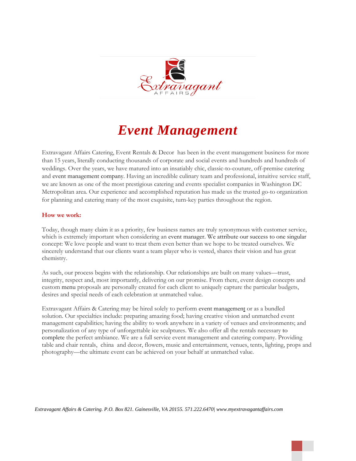

# *Event Management*

Extravagant Affairs Catering, Event Rentals & Decor has been in the event management business for more than 15 years, literally conducting thousands of corporate and social events and hundreds and hundreds of weddings. Over the years, we have matured into an insatiably chic, classic-to-couture, off-premise catering and event management company. Having an incredible culinary team and professional, intuitive service staff, we are known as one of the most prestigious catering and events specialist companies in Washington DC Metropolitan area. Our experience and accomplished reputation has made us the trusted go-to organization for planning and catering many of the most exquisite, turn-key parties throughout the region.

## **How we work:**

Today, though many claim it as a priority, few business names are truly synonymous with customer service, which is extremely important when considering an [event manager.](http://www.seasonsevents.com/eventmanagement.htm) We attribute our success to one singular concept: We love people and want to treat them even better than we hope to be treated ourselves. We sincerely understand that our clients want a team player who is vested, shares their vision and has great chemistry.

As such, our process begins with the relationship. Our relationships are built on many values—trust, integrity, respect and, most importantly, delivering on our promise. From there, event design concepts and custom [menu](http://www.seasonsevents.com/eventmanagement.htm) proposals are personally created for each client to uniquely capture the particular budgets, desires and special needs of each celebration at unmatched value.

Extravagant Affairs & Catering may be hired solely to perform [event management](http://www.seasonsevents.com/eventmanagement.htm) or as a bundled solution. Our specialties include: preparing amazing food; having creative vision and unmatched event management capabilities; having the ability to work anywhere in a variety of venues and environments; and personalization of any type of unforgettable ice sculptures. We also offer all the rentals necessary [to](http://www.seasonsevents.com/eventmanagement.htm)  [complete](http://www.seasonsevents.com/eventmanagement.htm) the perfect ambiance. We are a full service event management and catering company. Providing table and chair rentals, china and decor, flowers, music and entertainment, venues, tents, lighting, props and photography—the ultimate event can be achieved on your behalf at unmatched value.

*Extravagant Affairs & Catering. P.O. Box 821. Gainesville, VA 20155. 571.222.6470| www.myextravagantaffairs.com*